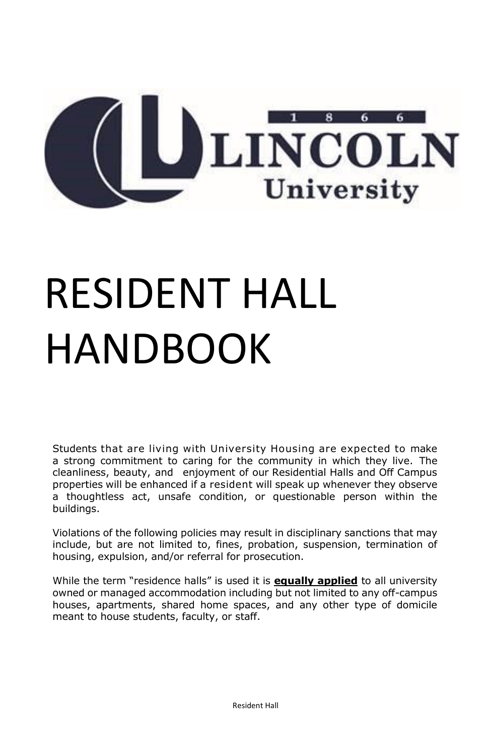

## RESIDENT HALL HANDBOOK

Students that are living with University Housing are expected to make a strong commitment to caring for the community in which they live. The cleanliness, beauty, and enjoyment of our Residential Halls and Off Campus properties will be enhanced if a resident will speak up whenever they observe a thoughtless act, unsafe condition, or questionable person within the buildings.

Violations of the following policies may result in disciplinary sanctions that may include, but are not limited to, fines, probation, suspension, termination of housing, expulsion, and/or referral for prosecution.

While the term "residence halls" is used it is **equally applied** to all university owned or managed accommodation including but not limited to any off-campus houses, apartments, shared home spaces, and any other type of domicile meant to house students, faculty, or staff.

Resident Hall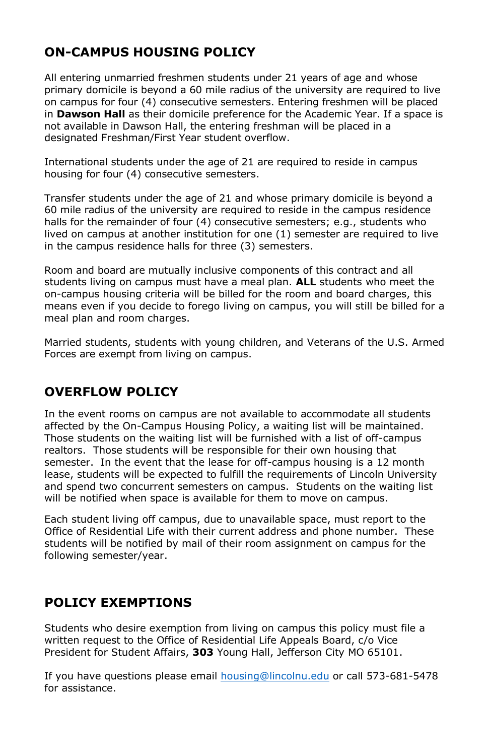## **ON-CAMPUS HOUSING POLICY**

All entering unmarried freshmen students under 21 years of age and whose primary domicile is beyond a 60 mile radius of the university are required to live on campus for four (4) consecutive semesters. Entering freshmen will be placed in **Dawson Hall** as their domicile preference for the Academic Year. If a space is not available in Dawson Hall, the entering freshman will be placed in a designated Freshman/First Year student overflow.

International students under the age of 21 are required to reside in campus housing for four (4) consecutive semesters.

Transfer students under the age of 21 and whose primary domicile is beyond a 60 mile radius of the university are required to reside in the campus residence halls for the remainder of four (4) consecutive semesters; e.g., students who lived on campus at another institution for one (1) semester are required to live in the campus residence halls for three (3) semesters.

Room and board are mutually inclusive components of this contract and all students living on campus must have a meal plan. **ALL** students who meet the on-campus housing criteria will be billed for the room and board charges, this means even if you decide to forego living on campus, you will still be billed for a meal plan and room charges.

Married students, students with young children, and Veterans of the U.S. Armed Forces are exempt from living on campus.

## **OVERFLOW POLICY**

In the event rooms on campus are not available to accommodate all students affected by the On-Campus Housing Policy, a waiting list will be maintained. Those students on the waiting list will be furnished with a list of off-campus realtors. Those students will be responsible for their own housing that semester. In the event that the lease for off-campus housing is a 12 month lease, students will be expected to fulfill the requirements of Lincoln University and spend two concurrent semesters on campus. Students on the waiting list will be notified when space is available for them to move on campus.

Each student living off campus, due to unavailable space, must report to the Office of Residential Life with their current address and phone number. These students will be notified by mail of their room assignment on campus for the following semester/year.

## **POLICY EXEMPTIONS**

Students who desire exemption from living on campus this policy must file a written request to the Office of Residential Life Appeals Board, c/o Vice President for Student Affairs, **303** Young Hall, Jefferson City MO 65101.

If you have questions please email **housing@lincolnu.edu** or call 573-681-5478 for assistance.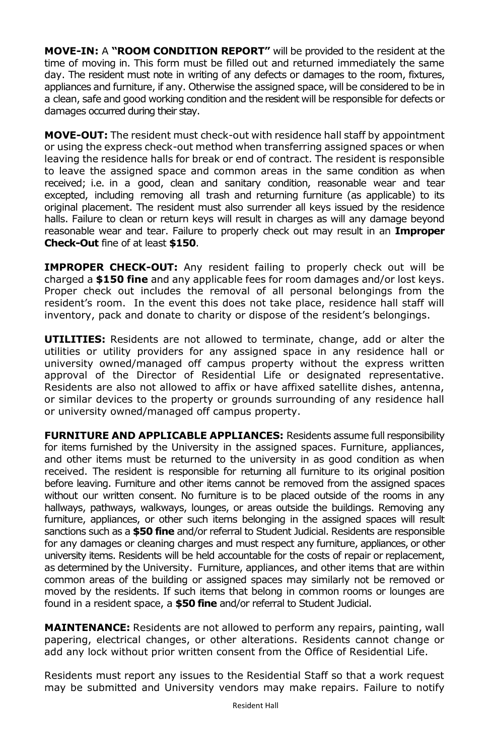**MOVE-IN:** A **"ROOM CONDITION REPORT"** will be provided to the resident at the time of moving in. This form must be filled out and returned immediately the same day. The resident must note in writing of any defects or damages to the room, fixtures, appliances and furniture, if any. Otherwise the assigned space, will be considered to be in a clean, safe and good working condition and the resident will be responsible for defects or damages occurred during their stay.

**MOVE-OUT:** The resident must check-out with residence hall staff by appointment or using the express check-out method when transferring assigned spaces or when leaving the residence halls for break or end of contract. The resident is responsible to leave the assigned space and common areas in the same condition as when received; i.e. in a good, clean and sanitary condition, reasonable wear and tear excepted, including removing all trash and returning furniture (as applicable) to its original placement. The resident must also surrender all keys issued by the residence halls. Failure to clean or return keys will result in charges as will any damage beyond reasonable wear and tear. Failure to properly check out may result in an **Improper Check-Out** fine of at least **\$150**.

**IMPROPER CHECK-OUT:** Any resident failing to properly check out will be charged a **\$150 fine** and any applicable fees for room damages and/or lost keys. Proper check out includes the removal of all personal belongings from the resident's room. In the event this does not take place, residence hall staff will inventory, pack and donate to charity or dispose of the resident's belongings.

**UTILITIES:** Residents are not allowed to terminate, change, add or alter the utilities or utility providers for any assigned space in any residence hall or university owned/managed off campus property without the express written approval of the Director of Residential Life or designated representative. Residents are also not allowed to affix or have affixed satellite dishes, antenna, or similar devices to the property or grounds surrounding of any residence hall or university owned/managed off campus property.

**FURNITURE AND APPLICABLE APPLIANCES:** Residents assume full responsibility for items furnished by the University in the assigned spaces. Furniture, appliances, and other items must be returned to the university in as good condition as when received. The resident is responsible for returning all furniture to its original position before leaving. Furniture and other items cannot be removed from the assigned spaces without our written consent. No furniture is to be placed outside of the rooms in any hallways, pathways, walkways, lounges, or areas outside the buildings. Removing any furniture, appliances, or other such items belonging in the assigned spaces will result sanctions such as a **\$50 fine** and/or referral to Student Judicial. Residents are responsible for any damages or cleaning charges and must respect any furniture, appliances, or other university items. Residents will be held accountable for the costs of repair or replacement, as determined by the University. Furniture, appliances, and other items that are within common areas of the building or assigned spaces may similarly not be removed or moved by the residents. If such items that belong in common rooms or lounges are found in a resident space, a **\$50 fine** and/or referral to Student Judicial.

**MAINTENANCE:** Residents are not allowed to perform any repairs, painting, wall papering, electrical changes, or other alterations. Residents cannot change or add any lock without prior written consent from the Office of Residential Life.

Residents must report any issues to the Residential Staff so that a work request may be submitted and University vendors may make repairs. Failure to notify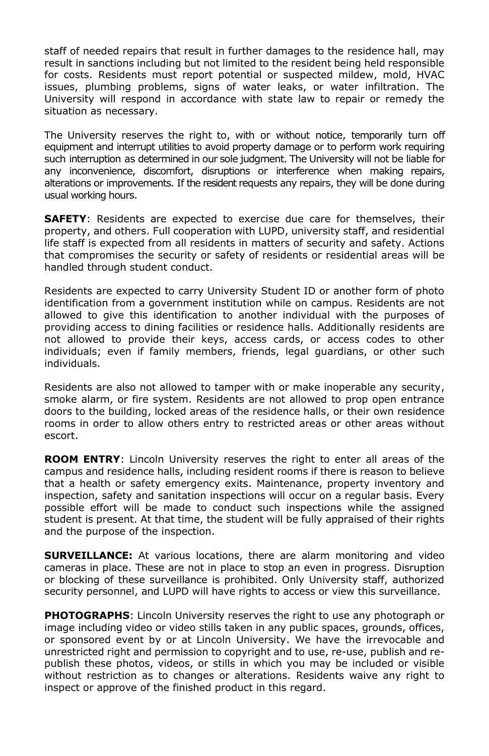staff of needed repairs that result in further damages to the residence hall, may result in sanctions including but not limited to the resident being held responsible for costs. Residents must report potential or suspected mildew, mold, HVAC issues, plumbing problems, signs of water leaks, or water infiltration. The University will respond in accordance with state law to repair or remedy the situation as necessary.

The University reserves the right to, with or without notice, temporarily turn off equipment and interrupt utilities to avoid property damage or to perform work requiring such interruption as determined in our sole judgment. The University will not be liable for any inconvenience, discomfort, disruptions or interference when making repairs, alterations or improvements. If the resident requests any repairs, they will be done during usual working hours.

**SAFETY**: Residents are expected to exercise due care for themselves, their property, and others. Full cooperation with LUPD, university staff, and residential life staff is expected from all residents in matters of security and safety. Actions that compromises the security or safety of residents or residential areas will be handled through student conduct.

Residents are expected to carry University Student ID or another form of photo identification from a government institution while on campus. Residents are not allowed to give this identification to another individual with the purposes of providing access to dining facilities or residence halls. Additionally residents are not allowed to provide their keys, access cards, or access codes to other individuals; even if family members, friends, legal guardians, or other such individuals.

Residents are also not allowed to tamper with or make inoperable any security, smoke alarm, or fire system. Residents are not allowed to prop open entrance doors to the building, locked areas of the residence halls, or their own residence rooms in order to allow others entry to restricted areas or other areas without escort.

**ROOM ENTRY**: Lincoln University reserves the right to enter all areas of the campus and residence halls, including resident rooms if there is reason to believe that a health or safety emergency exits. Maintenance, property inventory and inspection, safety and sanitation inspections will occur on a regular basis. Every possible effort will be made to conduct such inspections while the assigned student is present. At that time, the student will be fully appraised of their rights and the purpose of the inspection.

**SURVEILLANCE:** At various locations, there are alarm monitoring and video cameras in place. These are not in place to stop an even in progress. Disruption or blocking of these surveillance is prohibited. Only University staff, authorized security personnel, and LUPD will have rights to access or view this surveillance.

**PHOTOGRAPHS**: Lincoln University reserves the right to use any photograph or image including video or video stills taken in any public spaces, grounds, offices, or sponsored event by or at Lincoln University. We have the irrevocable and unrestricted right and permission to copyright and to use, re-use, publish and republish these photos, videos, or stills in which you may be included or visible without restriction as to changes or alterations. Residents waive any right to inspect or approve of the finished product in this regard.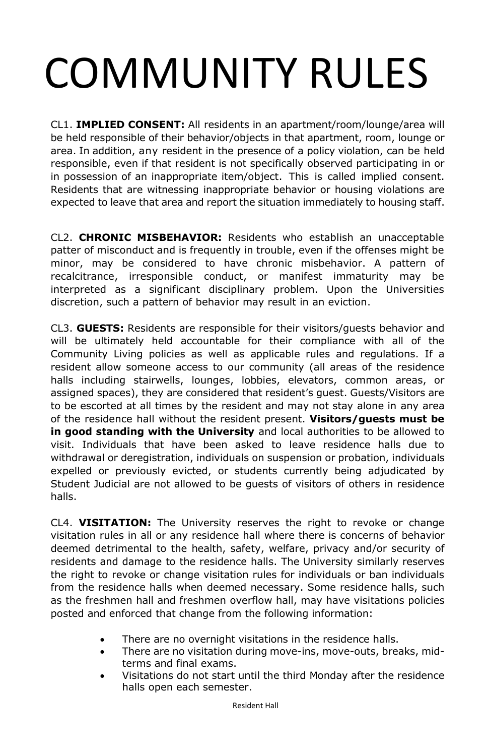# COMMUNITY RULES

CL1. **IMPLIED CONSENT:** All residents in an apartment/room/lounge/area will be held responsible of their behavior/objects in that apartment, room, lounge or area. In addition, any resident in the presence of a policy violation, can be held responsible, even if that resident is not specifically observed participating in or in possession of an inappropriate item/object. This is called implied consent. Residents that are witnessing inappropriate behavior or housing violations are expected to leave that area and report the situation immediately to housing staff.

CL2. **CHRONIC MISBEHAVIOR:** Residents who establish an unacceptable patter of misconduct and is frequently in trouble, even if the offenses might be minor, may be considered to have chronic misbehavior. A pattern of recalcitrance, irresponsible conduct, or manifest immaturity may be interpreted as a significant disciplinary problem. Upon the Universities discretion, such a pattern of behavior may result in an eviction.

CL3. **GUESTS:** Residents are responsible for their visitors/guests behavior and will be ultimately held accountable for their compliance with all of the Community Living policies as well as applicable rules and regulations. If a resident allow someone access to our community (all areas of the residence halls including stairwells, lounges, lobbies, elevators, common areas, or assigned spaces), they are considered that resident's guest. Guests/Visitors are to be escorted at all times by the resident and may not stay alone in any area of the residence hall without the resident present. **Visitors/guests must be in good standing with the University** and local authorities to be allowed to visit. Individuals that have been asked to leave residence halls due to withdrawal or deregistration, individuals on suspension or probation, individuals expelled or previously evicted, or students currently being adjudicated by Student Judicial are not allowed to be guests of visitors of others in residence halls.

CL4. **VISITATION:** The University reserves the right to revoke or change visitation rules in all or any residence hall where there is concerns of behavior deemed detrimental to the health, safety, welfare, privacy and/or security of residents and damage to the residence halls. The University similarly reserves the right to revoke or change visitation rules for individuals or ban individuals from the residence halls when deemed necessary. Some residence halls, such as the freshmen hall and freshmen overflow hall, may have visitations policies posted and enforced that change from the following information:

- There are no overnight visitations in the residence halls.
- There are no visitation during move-ins, move-outs, breaks, midterms and final exams.
- Visitations do not start until the third Monday after the residence halls open each semester.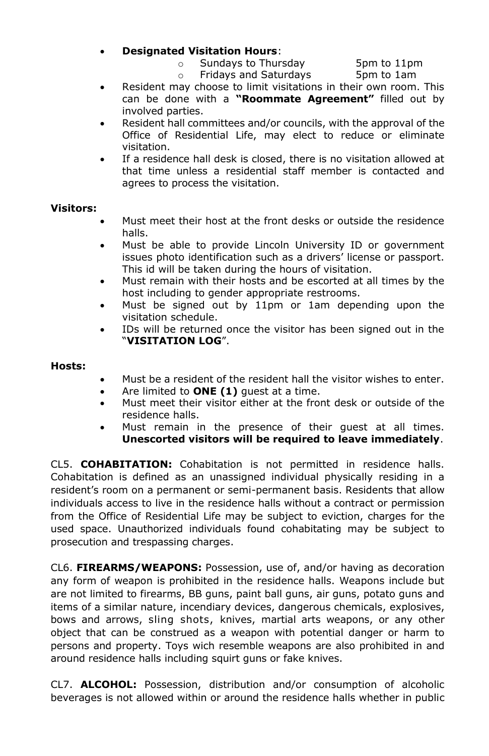### **Designated Visitation Hours**:

o Sundays to Thursday 5pm to 11pm

- o Fridays and Saturdays 5pm to 1am
- Resident may choose to limit visitations in their own room. This can be done with a **"Roommate Agreement"** filled out by involved parties.
- Resident hall committees and/or councils, with the approval of the Office of Residential Life, may elect to reduce or eliminate visitation.
- If a residence hall desk is closed, there is no visitation allowed at that time unless a residential staff member is contacted and agrees to process the visitation.

### **Visitors:**

- Must meet their host at the front desks or outside the residence halls.
- Must be able to provide Lincoln University ID or government issues photo identification such as a drivers' license or passport. This id will be taken during the hours of visitation.
- Must remain with their hosts and be escorted at all times by the host including to gender appropriate restrooms.
- Must be signed out by 11pm or 1am depending upon the visitation schedule.
- IDs will be returned once the visitor has been signed out in the "**VISITATION LOG**".

#### **Hosts:**

- Must be a resident of the resident hall the visitor wishes to enter.
- Are limited to **ONE (1)** guest at a time.
- Must meet their visitor either at the front desk or outside of the residence halls.
- Must remain in the presence of their guest at all times. **Unescorted visitors will be required to leave immediately**.

CL5. **COHABITATION:** Cohabitation is not permitted in residence halls. Cohabitation is defined as an unassigned individual physically residing in a resident's room on a permanent or semi-permanent basis. Residents that allow individuals access to live in the residence halls without a contract or permission from the Office of Residential Life may be subject to eviction, charges for the used space. Unauthorized individuals found cohabitating may be subject to prosecution and trespassing charges.

CL6. **FIREARMS/WEAPONS:** Possession, use of, and/or having as decoration any form of weapon is prohibited in the residence halls. Weapons include but are not limited to firearms, BB guns, paint ball guns, air guns, potato guns and items of a similar nature, incendiary devices, dangerous chemicals, explosives, bows and arrows, sling shots, knives, martial arts weapons, or any other object that can be construed as a weapon with potential danger or harm to persons and property. Toys wich resemble weapons are also prohibited in and around residence halls including squirt guns or fake knives.

CL7. **ALCOHOL:** Possession, distribution and/or consumption of alcoholic beverages is not allowed within or around the residence halls whether in public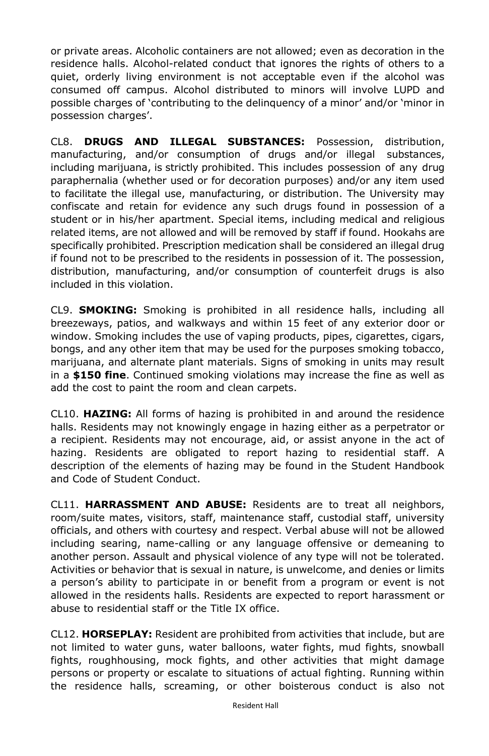or private areas. Alcoholic containers are not allowed; even as decoration in the residence halls. Alcohol-related conduct that ignores the rights of others to a quiet, orderly living environment is not acceptable even if the alcohol was consumed off campus. Alcohol distributed to minors will involve LUPD and possible charges of 'contributing to the delinquency of a minor' and/or 'minor in possession charges'.

CL8. **DRUGS AND ILLEGAL SUBSTANCES:** Possession, distribution, manufacturing, and/or consumption of drugs and/or illegal substances, including marijuana, is strictly prohibited. This includes possession of any drug paraphernalia (whether used or for decoration purposes) and/or any item used to facilitate the illegal use, manufacturing, or distribution. The University may confiscate and retain for evidence any such drugs found in possession of a student or in his/her apartment. Special items, including medical and religious related items, are not allowed and will be removed by staff if found. Hookahs are specifically prohibited. Prescription medication shall be considered an illegal drug if found not to be prescribed to the residents in possession of it. The possession, distribution, manufacturing, and/or consumption of counterfeit drugs is also included in this violation.

CL9. **SMOKING:** Smoking is prohibited in all residence halls, including all breezeways, patios, and walkways and within 15 feet of any exterior door or window. Smoking includes the use of vaping products, pipes, cigarettes, cigars, bongs, and any other item that may be used for the purposes smoking tobacco, marijuana, and alternate plant materials. Signs of smoking in units may result in a **\$150 fine**. Continued smoking violations may increase the fine as well as add the cost to paint the room and clean carpets.

CL10. **HAZING:** All forms of hazing is prohibited in and around the residence halls. Residents may not knowingly engage in hazing either as a perpetrator or a recipient. Residents may not encourage, aid, or assist anyone in the act of hazing. Residents are obligated to report hazing to residential staff. A description of the elements of hazing may be found in the Student Handbook and Code of Student Conduct.

CL11. **HARRASSMENT AND ABUSE:** Residents are to treat all neighbors, room/suite mates, visitors, staff, maintenance staff, custodial staff, university officials, and others with courtesy and respect. Verbal abuse will not be allowed including searing, name-calling or any language offensive or demeaning to another person. Assault and physical violence of any type will not be tolerated. Activities or behavior that is sexual in nature, is unwelcome, and denies or limits a person's ability to participate in or benefit from a program or event is not allowed in the residents halls. Residents are expected to report harassment or abuse to residential staff or the Title IX office.

CL12. **HORSEPLAY:** Resident are prohibited from activities that include, but are not limited to water guns, water balloons, water fights, mud fights, snowball fights, roughhousing, mock fights, and other activities that might damage persons or property or escalate to situations of actual fighting. Running within the residence halls, screaming, or other boisterous conduct is also not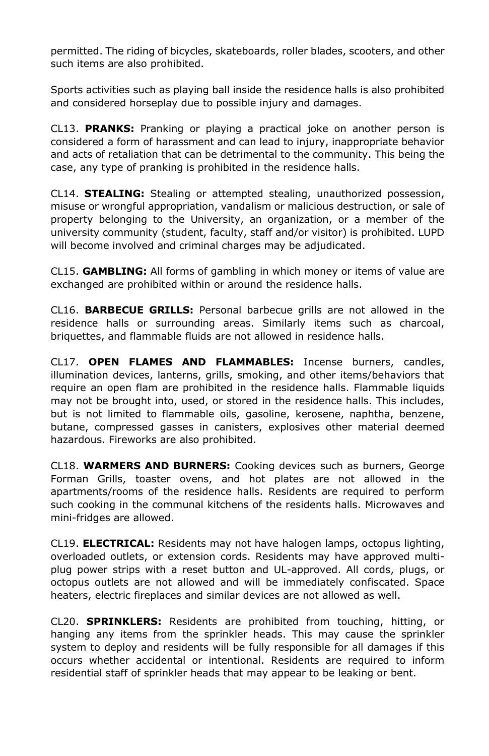permitted. The riding of bicycles, skateboards, roller blades, scooters, and other such items are also prohibited.

Sports activities such as playing ball inside the residence halls is also prohibited and considered horseplay due to possible injury and damages.

CL13. **PRANKS:** Pranking or playing a practical joke on another person is considered a form of harassment and can lead to injury, inappropriate behavior and acts of retaliation that can be detrimental to the community. This being the case, any type of pranking is prohibited in the residence halls.

CL14. **STEALING:** Stealing or attempted stealing, unauthorized possession, misuse or wrongful appropriation, vandalism or malicious destruction, or sale of property belonging to the University, an organization, or a member of the university community (student, faculty, staff and/or visitor) is prohibited. LUPD will become involved and criminal charges may be adjudicated.

CL15. **GAMBLING:** All forms of gambling in which money or items of value are exchanged are prohibited within or around the residence halls.

CL16. **BARBECUE GRILLS:** Personal barbecue grills are not allowed in the residence halls or surrounding areas. Similarly items such as charcoal, briquettes, and flammable fluids are not allowed in residence halls.

CL17. **OPEN FLAMES AND FLAMMABLES:** Incense burners, candles, illumination devices, lanterns, grills, smoking, and other items/behaviors that require an open flam are prohibited in the residence halls. Flammable liquids may not be brought into, used, or stored in the residence halls. This includes, but is not limited to flammable oils, gasoline, kerosene, naphtha, benzene, butane, compressed gasses in canisters, explosives other material deemed hazardous. Fireworks are also prohibited.

CL18. **WARMERS AND BURNERS:** Cooking devices such as burners, George Forman Grills, toaster ovens, and hot plates are not allowed in the apartments/rooms of the residence halls. Residents are required to perform such cooking in the communal kitchens of the residents halls. Microwaves and mini-fridges are allowed.

CL19. **ELECTRICAL:** Residents may not have halogen lamps, octopus lighting, overloaded outlets, or extension cords. Residents may have approved multiplug power strips with a reset button and UL-approved. All cords, plugs, or octopus outlets are not allowed and will be immediately confiscated. Space heaters, electric fireplaces and similar devices are not allowed as well.

CL20. **SPRINKLERS:** Residents are prohibited from touching, hitting, or hanging any items from the sprinkler heads. This may cause the sprinkler system to deploy and residents will be fully responsible for all damages if this occurs whether accidental or intentional. Residents are required to inform residential staff of sprinkler heads that may appear to be leaking or bent.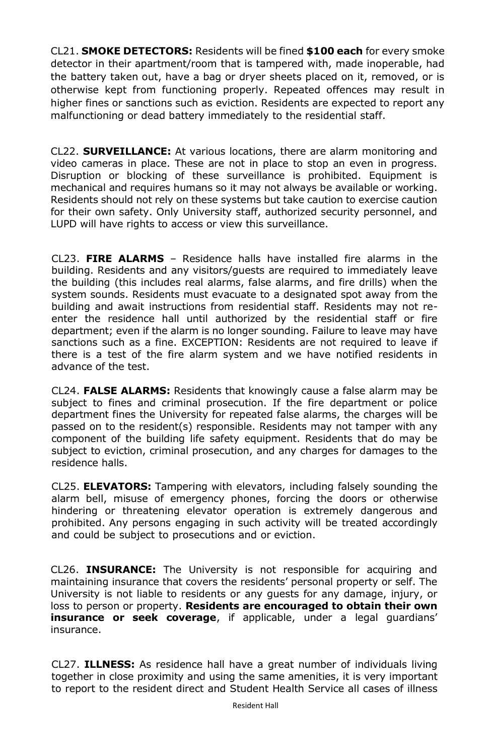CL21. **SMOKE DETECTORS:** Residents will be fined **\$100 each** for every smoke detector in their apartment/room that is tampered with, made inoperable, had the battery taken out, have a bag or dryer sheets placed on it, removed, or is otherwise kept from functioning properly. Repeated offences may result in higher fines or sanctions such as eviction. Residents are expected to report any malfunctioning or dead battery immediately to the residential staff.

CL22. **SURVEILLANCE:** At various locations, there are alarm monitoring and video cameras in place. These are not in place to stop an even in progress. Disruption or blocking of these surveillance is prohibited. Equipment is mechanical and requires humans so it may not always be available or working. Residents should not rely on these systems but take caution to exercise caution for their own safety. Only University staff, authorized security personnel, and LUPD will have rights to access or view this surveillance.

CL23. **FIRE ALARMS** – Residence halls have installed fire alarms in the building. Residents and any visitors/guests are required to immediately leave the building (this includes real alarms, false alarms, and fire drills) when the system sounds. Residents must evacuate to a designated spot away from the building and await instructions from residential staff. Residents may not reenter the residence hall until authorized by the residential staff or fire department; even if the alarm is no longer sounding. Failure to leave may have sanctions such as a fine. EXCEPTION: Residents are not required to leave if there is a test of the fire alarm system and we have notified residents in advance of the test.

CL24. **FALSE ALARMS:** Residents that knowingly cause a false alarm may be subject to fines and criminal prosecution. If the fire department or police department fines the University for repeated false alarms, the charges will be passed on to the resident(s) responsible. Residents may not tamper with any component of the building life safety equipment. Residents that do may be subject to eviction, criminal prosecution, and any charges for damages to the residence halls.

CL25. **ELEVATORS:** Tampering with elevators, including falsely sounding the alarm bell, misuse of emergency phones, forcing the doors or otherwise hindering or threatening elevator operation is extremely dangerous and prohibited. Any persons engaging in such activity will be treated accordingly and could be subject to prosecutions and or eviction.

CL26. **INSURANCE:** The University is not responsible for acquiring and maintaining insurance that covers the residents' personal property or self. The University is not liable to residents or any guests for any damage, injury, or loss to person or property. **Residents are encouraged to obtain their own insurance or seek coverage**, if applicable, under a legal guardians' insurance.

CL27. **ILLNESS:** As residence hall have a great number of individuals living together in close proximity and using the same amenities, it is very important to report to the resident direct and Student Health Service all cases of illness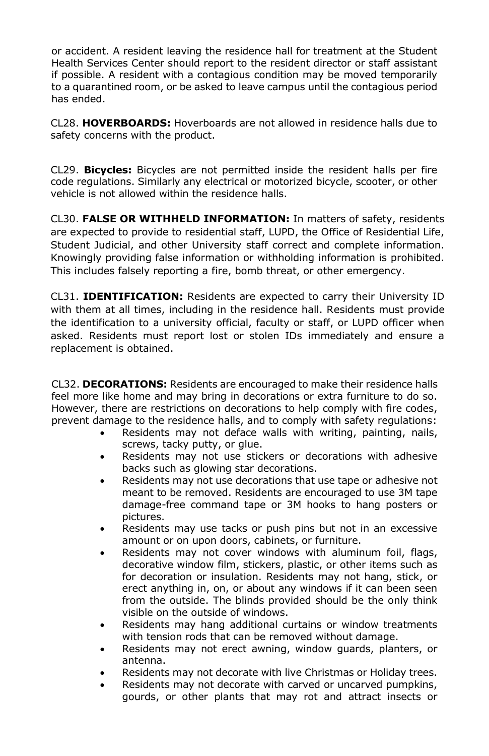or accident. A resident leaving the residence hall for treatment at the Student Health Services Center should report to the resident director or staff assistant if possible. A resident with a contagious condition may be moved temporarily to a quarantined room, or be asked to leave campus until the contagious period has ended.

CL28. **HOVERBOARDS:** Hoverboards are not allowed in residence halls due to safety concerns with the product.

CL29. **Bicycles:** Bicycles are not permitted inside the resident halls per fire code regulations. Similarly any electrical or motorized bicycle, scooter, or other vehicle is not allowed within the residence halls.

CL30. **FALSE OR WITHHELD INFORMATION:** In matters of safety, residents are expected to provide to residential staff, LUPD, the Office of Residential Life, Student Judicial, and other University staff correct and complete information. Knowingly providing false information or withholding information is prohibited. This includes falsely reporting a fire, bomb threat, or other emergency.

CL31. **IDENTIFICATION:** Residents are expected to carry their University ID with them at all times, including in the residence hall. Residents must provide the identification to a university official, faculty or staff, or LUPD officer when asked. Residents must report lost or stolen IDs immediately and ensure a replacement is obtained.

CL32. **DECORATIONS:** Residents are encouraged to make their residence halls feel more like home and may bring in decorations or extra furniture to do so. However, there are restrictions on decorations to help comply with fire codes, prevent damage to the residence halls, and to comply with safety regulations:

- Residents may not deface walls with writing, painting, nails, screws, tacky putty, or glue.
- Residents may not use stickers or decorations with adhesive backs such as glowing star decorations.
- Residents may not use decorations that use tape or adhesive not meant to be removed. Residents are encouraged to use 3M tape damage-free command tape or 3M hooks to hang posters or pictures.
- Residents may use tacks or push pins but not in an excessive amount or on upon doors, cabinets, or furniture.
- Residents may not cover windows with aluminum foil, flags, decorative window film, stickers, plastic, or other items such as for decoration or insulation. Residents may not hang, stick, or erect anything in, on, or about any windows if it can been seen from the outside. The blinds provided should be the only think visible on the outside of windows.
- Residents may hang additional curtains or window treatments with tension rods that can be removed without damage.
- Residents may not erect awning, window guards, planters, or antenna.
- Residents may not decorate with live Christmas or Holiday trees.
- Residents may not decorate with carved or uncarved pumpkins, gourds, or other plants that may rot and attract insects or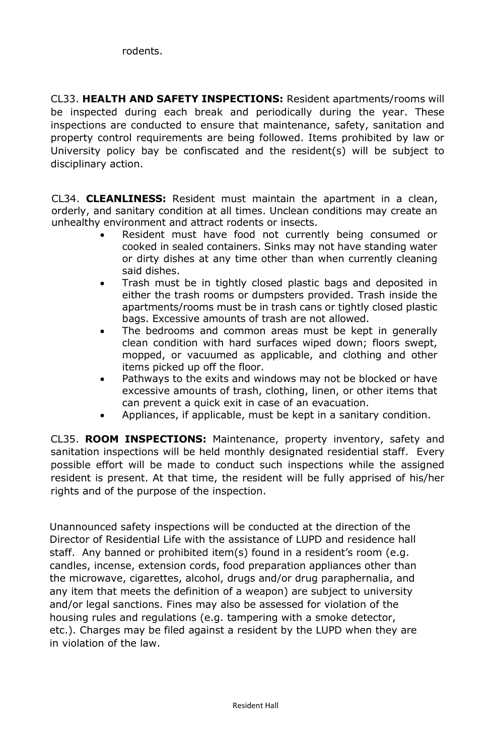CL33. **HEALTH AND SAFETY INSPECTIONS:** Resident apartments/rooms will be inspected during each break and periodically during the year. These inspections are conducted to ensure that maintenance, safety, sanitation and property control requirements are being followed. Items prohibited by law or University policy bay be confiscated and the resident(s) will be subject to disciplinary action.

CL34. **CLEANLINESS:** Resident must maintain the apartment in a clean, orderly, and sanitary condition at all times. Unclean conditions may create an unhealthy environment and attract rodents or insects.

- Resident must have food not currently being consumed or cooked in sealed containers. Sinks may not have standing water or dirty dishes at any time other than when currently cleaning said dishes.
- Trash must be in tightly closed plastic bags and deposited in either the trash rooms or dumpsters provided. Trash inside the apartments/rooms must be in trash cans or tightly closed plastic bags. Excessive amounts of trash are not allowed.
- The bedrooms and common areas must be kept in generally clean condition with hard surfaces wiped down; floors swept, mopped, or vacuumed as applicable, and clothing and other items picked up off the floor.
- Pathways to the exits and windows may not be blocked or have excessive amounts of trash, clothing, linen, or other items that can prevent a quick exit in case of an evacuation.
- Appliances, if applicable, must be kept in a sanitary condition.

CL35. **ROOM INSPECTIONS:** Maintenance, property inventory, safety and sanitation inspections will be held monthly designated residential staff. Every possible effort will be made to conduct such inspections while the assigned resident is present. At that time, the resident will be fully apprised of his/her rights and of the purpose of the inspection.

Unannounced safety inspections will be conducted at the direction of the Director of Residential Life with the assistance of LUPD and residence hall staff. Any banned or prohibited item(s) found in a resident's room (e.g. candles, incense, extension cords, food preparation appliances other than the microwave, cigarettes, alcohol, drugs and/or drug paraphernalia, and any item that meets the definition of a weapon) are subject to university and/or legal sanctions. Fines may also be assessed for violation of the housing rules and regulations (e.g. tampering with a smoke detector, etc.). Charges may be filed against a resident by the LUPD when they are in violation of the law.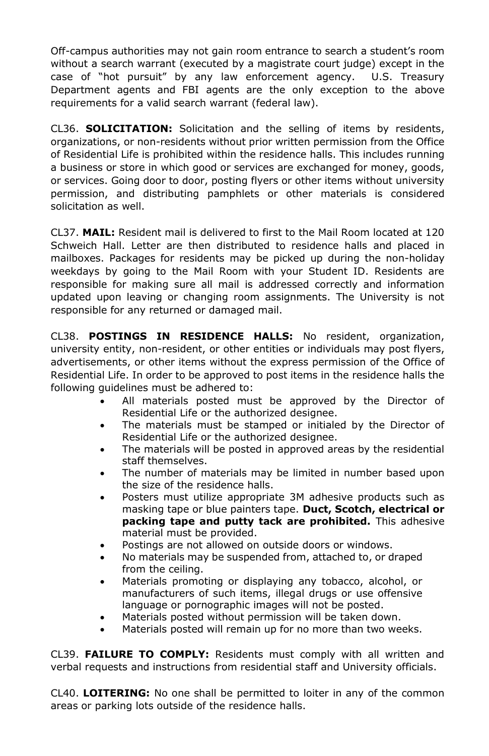Off-campus authorities may not gain room entrance to search a student's room without a search warrant (executed by a magistrate court judge) except in the case of "hot pursuit" by any law enforcement agency. U.S. Treasury Department agents and FBI agents are the only exception to the above requirements for a valid search warrant (federal law).

CL36. **SOLICITATION:** Solicitation and the selling of items by residents, organizations, or non-residents without prior written permission from the Office of Residential Life is prohibited within the residence halls. This includes running a business or store in which good or services are exchanged for money, goods, or services. Going door to door, posting flyers or other items without university permission, and distributing pamphlets or other materials is considered solicitation as well.

CL37. **MAIL:** Resident mail is delivered to first to the Mail Room located at 120 Schweich Hall. Letter are then distributed to residence halls and placed in mailboxes. Packages for residents may be picked up during the non-holiday weekdays by going to the Mail Room with your Student ID. Residents are responsible for making sure all mail is addressed correctly and information updated upon leaving or changing room assignments. The University is not responsible for any returned or damaged mail.

CL38. **POSTINGS IN RESIDENCE HALLS:** No resident, organization, university entity, non-resident, or other entities or individuals may post flyers, advertisements, or other items without the express permission of the Office of Residential Life. In order to be approved to post items in the residence halls the following guidelines must be adhered to:

- All materials posted must be approved by the Director of Residential Life or the authorized designee.
- The materials must be stamped or initialed by the Director of Residential Life or the authorized designee.
- The materials will be posted in approved areas by the residential staff themselves.
- The number of materials may be limited in number based upon the size of the residence halls.
- Posters must utilize appropriate 3M adhesive products such as masking tape or blue painters tape. **Duct, Scotch, electrical or packing tape and putty tack are prohibited.** This adhesive material must be provided.
- Postings are not allowed on outside doors or windows.
- No materials may be suspended from, attached to, or draped from the ceiling.
- Materials promoting or displaying any tobacco, alcohol, or manufacturers of such items, illegal drugs or use offensive language or pornographic images will not be posted.
- Materials posted without permission will be taken down.
- Materials posted will remain up for no more than two weeks.

CL39. **FAILURE TO COMPLY:** Residents must comply with all written and verbal requests and instructions from residential staff and University officials.

CL40. **LOITERING:** No one shall be permitted to loiter in any of the common areas or parking lots outside of the residence halls.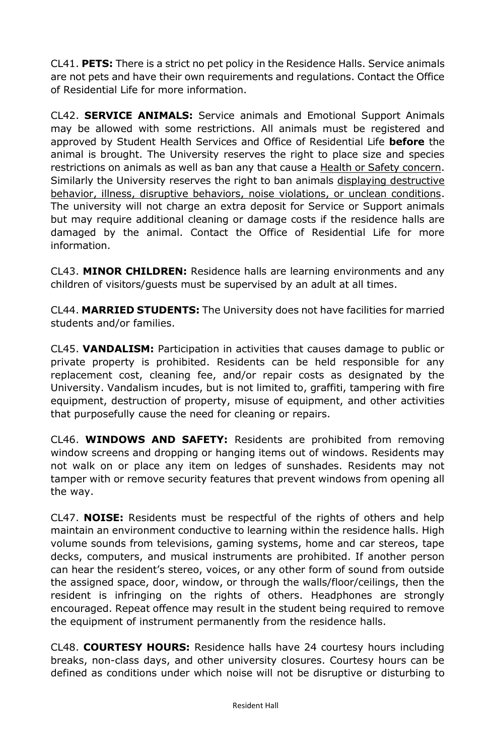CL41. **PETS:** There is a strict no pet policy in the Residence Halls. Service animals are not pets and have their own requirements and regulations. Contact the Office of Residential Life for more information.

CL42. **SERVICE ANIMALS:** Service animals and Emotional Support Animals may be allowed with some restrictions. All animals must be registered and approved by Student Health Services and Office of Residential Life **before** the animal is brought. The University reserves the right to place size and species restrictions on animals as well as ban any that cause a Health or Safety concern. Similarly the University reserves the right to ban animals displaying destructive behavior, illness, disruptive behaviors, noise violations, or unclean conditions. The university will not charge an extra deposit for Service or Support animals but may require additional cleaning or damage costs if the residence halls are damaged by the animal. Contact the Office of Residential Life for more information.

CL43. **MINOR CHILDREN:** Residence halls are learning environments and any children of visitors/guests must be supervised by an adult at all times.

CL44. **MARRIED STUDENTS:** The University does not have facilities for married students and/or families.

CL45. **VANDALISM:** Participation in activities that causes damage to public or private property is prohibited. Residents can be held responsible for any replacement cost, cleaning fee, and/or repair costs as designated by the University. Vandalism incudes, but is not limited to, graffiti, tampering with fire equipment, destruction of property, misuse of equipment, and other activities that purposefully cause the need for cleaning or repairs.

CL46. **WINDOWS AND SAFETY:** Residents are prohibited from removing window screens and dropping or hanging items out of windows. Residents may not walk on or place any item on ledges of sunshades. Residents may not tamper with or remove security features that prevent windows from opening all the way.

CL47. **NOISE:** Residents must be respectful of the rights of others and help maintain an environment conductive to learning within the residence halls. High volume sounds from televisions, gaming systems, home and car stereos, tape decks, computers, and musical instruments are prohibited. If another person can hear the resident's stereo, voices, or any other form of sound from outside the assigned space, door, window, or through the walls/floor/ceilings, then the resident is infringing on the rights of others. Headphones are strongly encouraged. Repeat offence may result in the student being required to remove the equipment of instrument permanently from the residence halls.

CL48. **COURTESY HOURS:** Residence halls have 24 courtesy hours including breaks, non-class days, and other university closures. Courtesy hours can be defined as conditions under which noise will not be disruptive or disturbing to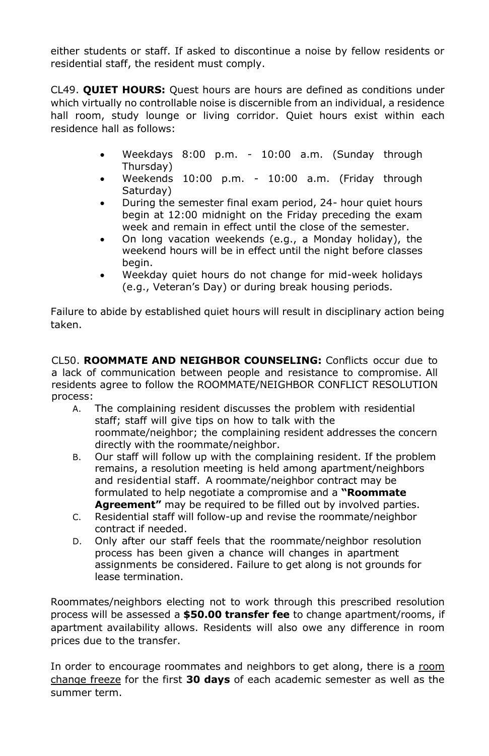either students or staff. If asked to discontinue a noise by fellow residents or residential staff, the resident must comply.

CL49. **QUIET HOURS:** Quest hours are hours are defined as conditions under which virtually no controllable noise is discernible from an individual, a residence hall room, study lounge or living corridor. Quiet hours exist within each residence hall as follows:

- Weekdays 8:00 p.m. 10:00 a.m. (Sunday through Thursday)
- Weekends 10:00 p.m. 10:00 a.m. (Friday through Saturday)
- During the semester final exam period, 24- hour quiet hours begin at 12:00 midnight on the Friday preceding the exam week and remain in effect until the close of the semester.
- On long vacation weekends (e.g., a Monday holiday), the weekend hours will be in effect until the night before classes begin.
- Weekday quiet hours do not change for mid-week holidays (e.g., Veteran's Day) or during break housing periods.

Failure to abide by established quiet hours will result in disciplinary action being taken.

CL50. **ROOMMATE AND NEIGHBOR COUNSELING:** Conflicts occur due to a lack of communication between people and resistance to compromise. All residents agree to follow the ROOMMATE/NEIGHBOR CONFLICT RESOLUTION process:

- A. The complaining resident discusses the problem with residential staff; staff will give tips on how to talk with the roommate/neighbor; the complaining resident addresses the concern directly with the roommate/neighbor.
- B. Our staff will follow up with the complaining resident. If the problem remains, a resolution meeting is held among apartment/neighbors and residential staff. A roommate/neighbor contract may be formulated to help negotiate a compromise and a **"Roommate Agreement"** may be required to be filled out by involved parties.
- C. Residential staff will follow-up and revise the roommate/neighbor contract if needed.
- D. Only after our staff feels that the roommate/neighbor resolution process has been given a chance will changes in apartment assignments be considered. Failure to get along is not grounds for lease termination.

Roommates/neighbors electing not to work through this prescribed resolution process will be assessed a **\$50.00 transfer fee** to change apartment/rooms, if apartment availability allows. Residents will also owe any difference in room prices due to the transfer.

In order to encourage roommates and neighbors to get along, there is a room change freeze for the first **30 days** of each academic semester as well as the summer term.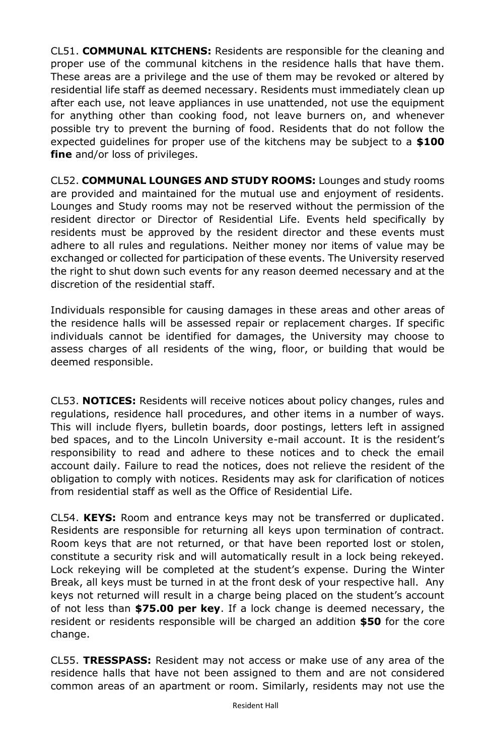CL51. **COMMUNAL KITCHENS:** Residents are responsible for the cleaning and proper use of the communal kitchens in the residence halls that have them. These areas are a privilege and the use of them may be revoked or altered by residential life staff as deemed necessary. Residents must immediately clean up after each use, not leave appliances in use unattended, not use the equipment for anything other than cooking food, not leave burners on, and whenever possible try to prevent the burning of food. Residents that do not follow the expected guidelines for proper use of the kitchens may be subject to a **\$100 fine** and/or loss of privileges.

CL52. **COMMUNAL LOUNGES AND STUDY ROOMS:** Lounges and study rooms are provided and maintained for the mutual use and enjoyment of residents. Lounges and Study rooms may not be reserved without the permission of the resident director or Director of Residential Life. Events held specifically by residents must be approved by the resident director and these events must adhere to all rules and regulations. Neither money nor items of value may be exchanged or collected for participation of these events. The University reserved the right to shut down such events for any reason deemed necessary and at the discretion of the residential staff.

Individuals responsible for causing damages in these areas and other areas of the residence halls will be assessed repair or replacement charges. If specific individuals cannot be identified for damages, the University may choose to assess charges of all residents of the wing, floor, or building that would be deemed responsible.

CL53. **NOTICES:** Residents will receive notices about policy changes, rules and regulations, residence hall procedures, and other items in a number of ways. This will include flyers, bulletin boards, door postings, letters left in assigned bed spaces, and to the Lincoln University e-mail account. It is the resident's responsibility to read and adhere to these notices and to check the email account daily. Failure to read the notices, does not relieve the resident of the obligation to comply with notices. Residents may ask for clarification of notices from residential staff as well as the Office of Residential Life.

CL54. **KEYS:** Room and entrance keys may not be transferred or duplicated. Residents are responsible for returning all keys upon termination of contract. Room keys that are not returned, or that have been reported lost or stolen, constitute a security risk and will automatically result in a lock being rekeyed. Lock rekeying will be completed at the student's expense. During the Winter Break, all keys must be turned in at the front desk of your respective hall. Any keys not returned will result in a charge being placed on the student's account of not less than **\$75.00 per key**. If a lock change is deemed necessary, the resident or residents responsible will be charged an addition **\$50** for the core change.

CL55. **TRESSPASS:** Resident may not access or make use of any area of the residence halls that have not been assigned to them and are not considered common areas of an apartment or room. Similarly, residents may not use the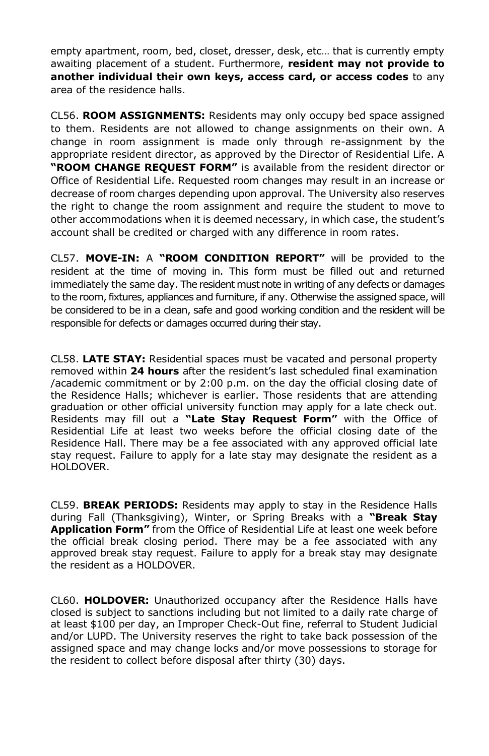empty apartment, room, bed, closet, dresser, desk, etc… that is currently empty awaiting placement of a student. Furthermore, **resident may not provide to another individual their own keys, access card, or access codes** to any area of the residence halls.

CL56. **ROOM ASSIGNMENTS:** Residents may only occupy bed space assigned to them. Residents are not allowed to change assignments on their own. A change in room assignment is made only through re-assignment by the appropriate resident director, as approved by the Director of Residential Life. A **"ROOM CHANGE REQUEST FORM"** is available from the resident director or Office of Residential Life. Requested room changes may result in an increase or decrease of room charges depending upon approval. The University also reserves the right to change the room assignment and require the student to move to other accommodations when it is deemed necessary, in which case, the student's account shall be credited or charged with any difference in room rates.

CL57. **MOVE-IN:** A **"ROOM CONDITION REPORT"** will be provided to the resident at the time of moving in. This form must be filled out and returned immediately the same day. The resident must note in writing of any defects or damages to the room,fixtures, appliances and furniture, if any. Otherwise the assigned space, will be considered to be in a clean, safe and good working condition and the resident will be responsible for defects or damages occurred during their stay.

CL58. **LATE STAY:** Residential spaces must be vacated and personal property removed within **24 hours** after the resident's last scheduled final examination /academic commitment or by 2:00 p.m. on the day the official closing date of the Residence Halls; whichever is earlier. Those residents that are attending graduation or other official university function may apply for a late check out. Residents may fill out a **"Late Stay Request Form"** with the Office of Residential Life at least two weeks before the official closing date of the Residence Hall. There may be a fee associated with any approved official late stay request. Failure to apply for a late stay may designate the resident as a HOLDOVER.

CL59. **BREAK PERIODS:** Residents may apply to stay in the Residence Halls during Fall (Thanksgiving), Winter, or Spring Breaks with a **"Break Stay Application Form"** from the Office of Residential Life at least one week before the official break closing period. There may be a fee associated with any approved break stay request. Failure to apply for a break stay may designate the resident as a HOLDOVER.

CL60. **HOLDOVER:** Unauthorized occupancy after the Residence Halls have closed is subject to sanctions including but not limited to a daily rate charge of at least \$100 per day, an Improper Check-Out fine, referral to Student Judicial and/or LUPD. The University reserves the right to take back possession of the assigned space and may change locks and/or move possessions to storage for the resident to collect before disposal after thirty (30) days.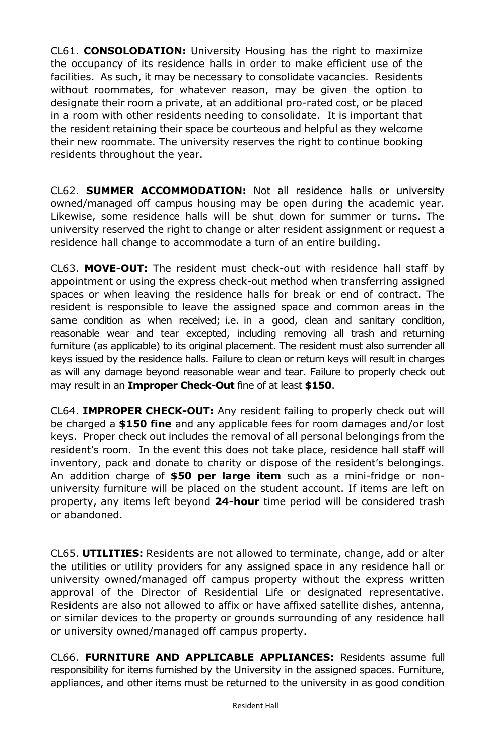CL61. **CONSOLODATION:** University Housing has the right to maximize the occupancy of its residence halls in order to make efficient use of the facilities. As such, it may be necessary to consolidate vacancies. Residents without roommates, for whatever reason, may be given the option to designate their room a private, at an additional pro-rated cost, or be placed in a room with other residents needing to consolidate. It is important that the resident retaining their space be courteous and helpful as they welcome their new roommate. The university reserves the right to continue booking residents throughout the year.

CL62. **SUMMER ACCOMMODATION:** Not all residence halls or university owned/managed off campus housing may be open during the academic year. Likewise, some residence halls will be shut down for summer or turns. The university reserved the right to change or alter resident assignment or request a residence hall change to accommodate a turn of an entire building.

CL63. **MOVE-OUT:** The resident must check-out with residence hall staff by appointment or using the express check-out method when transferring assigned spaces or when leaving the residence halls for break or end of contract. The resident is responsible to leave the assigned space and common areas in the same condition as when received; i.e. in a good, clean and sanitary condition, reasonable wear and tear excepted, including removing all trash and returning furniture (as applicable) to its original placement. The resident must also surrender all keys issued by the residence halls. Failure to clean or return keys will result in charges as will any damage beyond reasonable wear and tear. Failure to properly check out may result in an **Improper Check-Out** fine of at least **\$150**.

CL64. **IMPROPER CHECK-OUT:** Any resident failing to properly check out will be charged a **\$150 fine** and any applicable fees for room damages and/or lost keys. Proper check out includes the removal of all personal belongings from the resident's room. In the event this does not take place, residence hall staff will inventory, pack and donate to charity or dispose of the resident's belongings. An addition charge of **\$50 per large item** such as a mini-fridge or nonuniversity furniture will be placed on the student account. If items are left on property, any items left beyond **24-hour** time period will be considered trash or abandoned.

CL65. **UTILITIES:** Residents are not allowed to terminate, change, add or alter the utilities or utility providers for any assigned space in any residence hall or university owned/managed off campus property without the express written approval of the Director of Residential Life or designated representative. Residents are also not allowed to affix or have affixed satellite dishes, antenna, or similar devices to the property or grounds surrounding of any residence hall or university owned/managed off campus property.

CL66. **FURNITURE AND APPLICABLE APPLIANCES:** Residents assume full responsibility for items furnished by the University in the assigned spaces. Furniture, appliances, and other items must be returned to the university in as good condition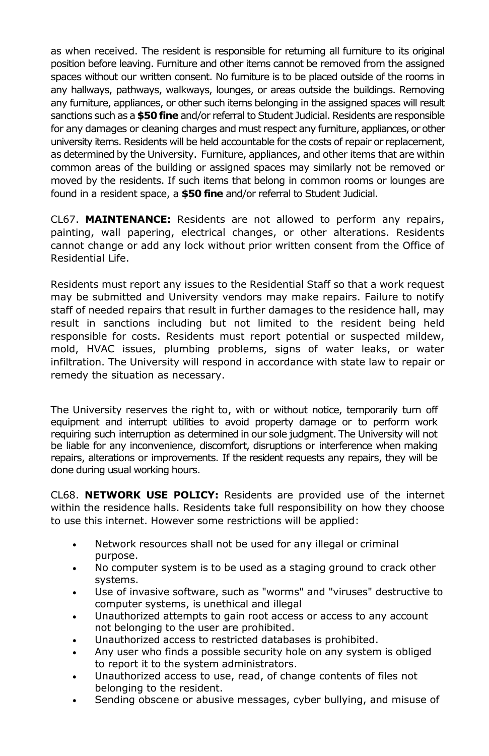as when received. The resident is responsible for returning all furniture to its original position before leaving. Furniture and other items cannot be removed from the assigned spaces without our written consent. No furniture is to be placed outside of the rooms in any hallways, pathways, walkways, lounges, or areas outside the buildings. Removing any furniture, appliances, or other such items belonging in the assigned spaces will result sanctions such as a **\$50 fine** and/or referral to Student Judicial. Residents are responsible for any damages or cleaning charges and must respect any furniture, appliances, or other university items. Residents will be held accountable for the costs of repair or replacement, as determined by the University. Furniture, appliances, and other items that are within common areas of the building or assigned spaces may similarly not be removed or moved by the residents. If such items that belong in common rooms or lounges are found in a resident space, a **\$50 fine** and/or referral to Student Judicial.

CL67. **MAINTENANCE:** Residents are not allowed to perform any repairs, painting, wall papering, electrical changes, or other alterations. Residents cannot change or add any lock without prior written consent from the Office of Residential Life.

Residents must report any issues to the Residential Staff so that a work request may be submitted and University vendors may make repairs. Failure to notify staff of needed repairs that result in further damages to the residence hall, may result in sanctions including but not limited to the resident being held responsible for costs. Residents must report potential or suspected mildew, mold, HVAC issues, plumbing problems, signs of water leaks, or water infiltration. The University will respond in accordance with state law to repair or remedy the situation as necessary.

The University reserves the right to, with or without notice, temporarily turn off equipment and interrupt utilities to avoid property damage or to perform work requiring such interruption as determined in our sole judgment. The University will not be liable for any inconvenience, discomfort, disruptions or interference when making repairs, alterations or improvements. If the resident requests any repairs, they will be done during usual working hours.

CL68. **NETWORK USE POLICY:** Residents are provided use of the internet within the residence halls. Residents take full responsibility on how they choose to use this internet. However some restrictions will be applied:

- Network resources shall not be used for any illegal or criminal purpose.
- No computer system is to be used as a staging ground to crack other systems.
- Use of invasive software, such as "worms" and "viruses" destructive to computer systems, is unethical and illegal
- Unauthorized attempts to gain root access or access to any account not belonging to the user are prohibited.
- Unauthorized access to restricted databases is prohibited.
- Any user who finds a possible security hole on any system is obliged to report it to the system administrators.
- Unauthorized access to use, read, of change contents of files not belonging to the resident.
- Sending obscene or abusive messages, cyber bullying, and misuse of